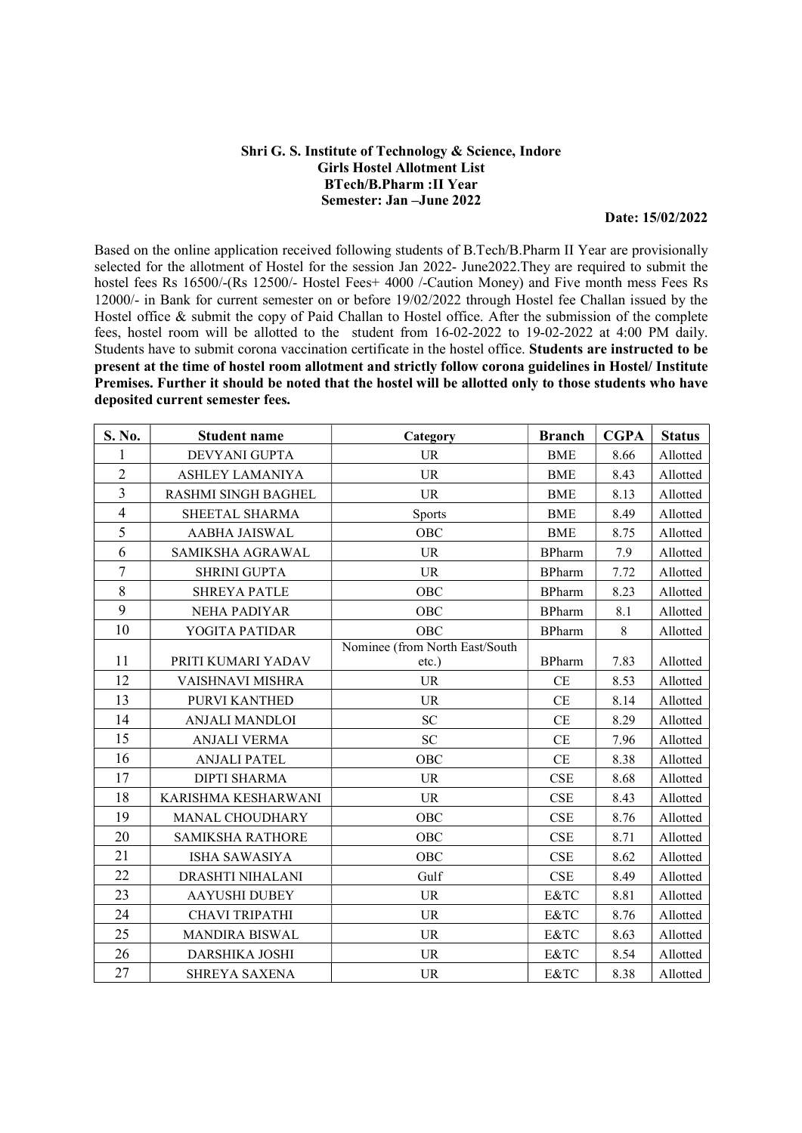## Shri G. S. Institute of Technology & Science, Indore Girls Hostel Allotment List BTech/B.Pharm :II Year Semester: Jan –June 2022

Date: 15/02/2022

Based on the online application received following students of B.Tech/B.Pharm II Year are provisionally selected for the allotment of Hostel for the session Jan 2022- June2022.They are required to submit the hostel fees Rs 16500/-(Rs 12500/- Hostel Fees+ 4000 /-Caution Money) and Five month mess Fees Rs 12000/- in Bank for current semester on or before 19/02/2022 through Hostel fee Challan issued by the Hostel office & submit the copy of Paid Challan to Hostel office. After the submission of the complete fees, hostel room will be allotted to the student from 16-02-2022 to 19-02-2022 at 4:00 PM daily. Students have to submit corona vaccination certificate in the hostel office. Students are instructed to be present at the time of hostel room allotment and strictly follow corona guidelines in Hostel/ Institute Premises. Further it should be noted that the hostel will be allotted only to those students who have deposited current semester fees.

| S. No.         | Student name            | Category                       | <b>Branch</b> | <b>CGPA</b> | <b>Status</b> |
|----------------|-------------------------|--------------------------------|---------------|-------------|---------------|
| 1              | DEVYANI GUPTA           | <b>UR</b>                      | <b>BME</b>    | 8.66        | Allotted      |
| $\overline{2}$ | <b>ASHLEY LAMANIYA</b>  | <b>UR</b>                      | <b>BME</b>    | 8.43        | Allotted      |
| 3              | RASHMI SINGH BAGHEL     | <b>UR</b>                      | <b>BME</b>    | 8.13        | Allotted      |
| $\overline{4}$ | SHEETAL SHARMA          | Sports                         | <b>BME</b>    | 8.49        | Allotted      |
| 5              | <b>AABHA JAISWAL</b>    | <b>OBC</b>                     | <b>BME</b>    | 8.75        | Allotted      |
| 6              | SAMIKSHA AGRAWAL        | <b>UR</b>                      | <b>BPharm</b> | 7.9         | Allotted      |
| $\overline{7}$ | <b>SHRINI GUPTA</b>     | <b>UR</b>                      | <b>BPharm</b> | 7.72        | Allotted      |
| 8              | <b>SHREYA PATLE</b>     | OBC                            | <b>BPharm</b> | 8.23        | Allotted      |
| 9              | <b>NEHA PADIYAR</b>     | OBC                            | <b>BPharm</b> | 8.1         | Allotted      |
| 10             | YOGITA PATIDAR          | OBC                            | <b>BPharm</b> | 8           | Allotted      |
|                |                         | Nominee (from North East/South |               |             |               |
| 11             | PRITI KUMARI YADAV      | etc.)                          | <b>BPharm</b> | 7.83        | Allotted      |
| 12             | VAISHNAVI MISHRA        | <b>UR</b>                      | CE            | 8.53        | Allotted      |
| 13             | PURVI KANTHED           | <b>UR</b>                      | CE            | 8.14        | Allotted      |
| 14             | <b>ANJALI MANDLOI</b>   | ${\rm SC}$                     | CE            | 8.29        | Allotted      |
| 15             | <b>ANJALI VERMA</b>     | <b>SC</b>                      | CE            | 7.96        | Allotted      |
| 16             | <b>ANJALI PATEL</b>     | OBC                            | CE            | 8.38        | Allotted      |
| 17             | <b>DIPTI SHARMA</b>     | <b>UR</b>                      | <b>CSE</b>    | 8.68        | Allotted      |
| 18             | KARISHMA KESHARWANI     | <b>UR</b>                      | CSE           | 8.43        | Allotted      |
| 19             | <b>MANAL CHOUDHARY</b>  | OBC                            | CSE           | 8.76        | Allotted      |
| 20             | <b>SAMIKSHA RATHORE</b> | OBC                            | CSE           | 8.71        | Allotted      |
| 21             | <b>ISHA SAWASIYA</b>    | OBC                            | <b>CSE</b>    | 8.62        | Allotted      |
| 22             | DRASHTI NIHALANI        | Gulf                           | CSE           | 8.49        | Allotted      |
| 23             | <b>AAYUSHI DUBEY</b>    | <b>UR</b>                      | E&TC          | 8.81        | Allotted      |
| 24             | <b>CHAVI TRIPATHI</b>   | <b>UR</b>                      | E&TC          | 8.76        | Allotted      |
| 25             | <b>MANDIRA BISWAL</b>   | <b>UR</b>                      | E&TC          | 8.63        | Allotted      |
| 26             | <b>DARSHIKA JOSHI</b>   | <b>UR</b>                      | E&TC          | 8.54        | Allotted      |
| 27             | <b>SHREYA SAXENA</b>    | <b>UR</b>                      | E&TC          | 8.38        | Allotted      |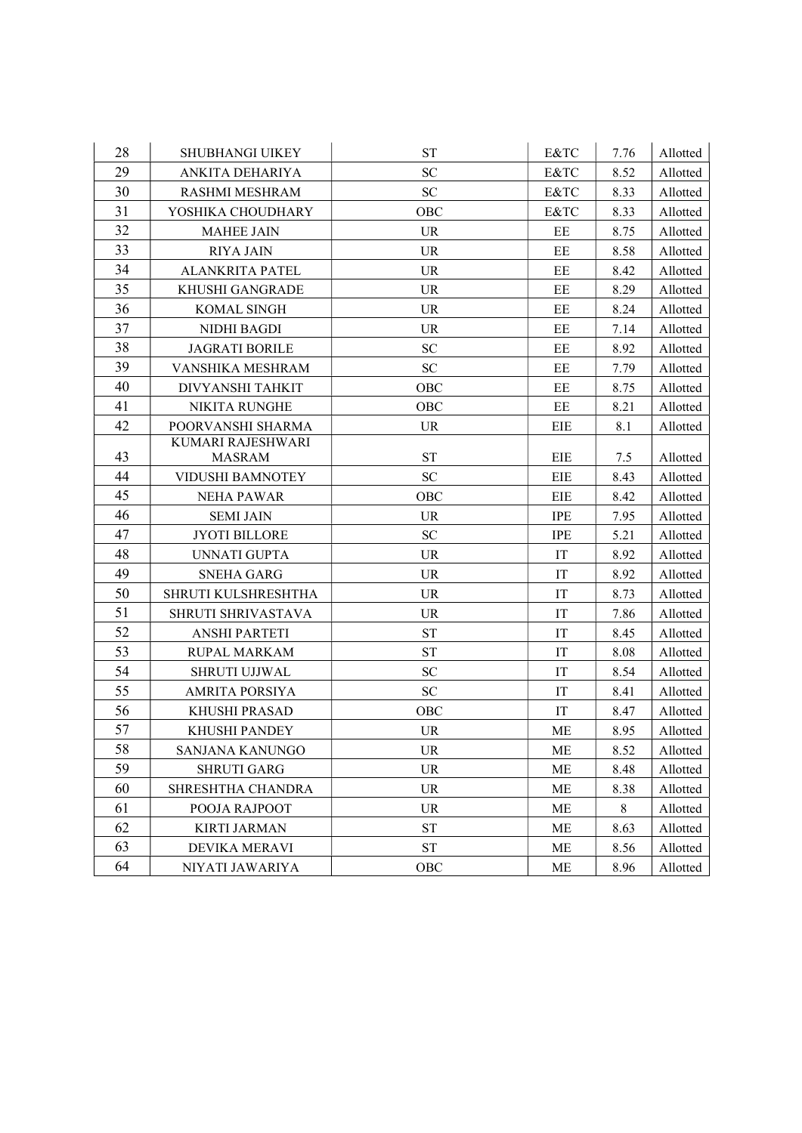| 28       | <b>SHUBHANGI UIKEY</b>                 | <b>ST</b>                       | E&TC                | 7.76         | Allotted             |
|----------|----------------------------------------|---------------------------------|---------------------|--------------|----------------------|
| 29       | ANKITA DEHARIYA                        | <b>SC</b>                       | E&TC                | 8.52         | Allotted             |
| 30       | RASHMI MESHRAM                         | ${\rm SC}$                      | E&TC                | 8.33         | Allotted             |
| 31       | YOSHIKA CHOUDHARY                      | OBC                             | E&TC                | 8.33         | Allotted             |
| 32       | <b>MAHEE JAIN</b>                      | <b>UR</b>                       | EE                  | 8.75         | Allotted             |
| 33       | <b>RIYA JAIN</b>                       | <b>UR</b>                       | EE                  | 8.58         | Allotted             |
| 34       | <b>ALANKRITA PATEL</b>                 | <b>UR</b>                       | EE                  | 8.42         | Allotted             |
| 35       | KHUSHI GANGRADE                        | <b>UR</b>                       | EE                  | 8.29         | Allotted             |
| 36       | KOMAL SINGH                            | <b>UR</b>                       | $\rm EE$            | 8.24         | Allotted             |
| 37       | NIDHI BAGDI                            | <b>UR</b>                       | EE                  | 7.14         | Allotted             |
| 38       | <b>JAGRATI BORILE</b>                  | <b>SC</b>                       | EE                  | 8.92         | Allotted             |
| 39       | VANSHIKA MESHRAM                       | ${\rm SC}$                      | EE                  | 7.79         | Allotted             |
| 40       | DIVYANSHI TAHKIT                       | OBC                             | EE                  | 8.75         | Allotted             |
| 41       | <b>NIKITA RUNGHE</b>                   | OBC                             | EE                  | 8.21         | Allotted             |
| 42       | POORVANSHI SHARMA                      | <b>UR</b>                       | EIE                 | 8.1          | Allotted             |
|          | <b>KUMARI RAJESHWARI</b>               |                                 |                     |              |                      |
| 43       | <b>MASRAM</b>                          | <b>ST</b>                       | EIE                 | 7.5          | Allotted             |
| 44       | VIDUSHI BAMNOTEY                       | <b>SC</b>                       | EIE                 | 8.43         | Allotted             |
| 45       | <b>NEHA PAWAR</b>                      | <b>OBC</b>                      | EIE                 | 8.42         | Allotted             |
| 46       | <b>SEMI JAIN</b>                       | <b>UR</b>                       | <b>IPE</b>          | 7.95         | Allotted             |
| 47       | <b>JYOTI BILLORE</b>                   | ${\rm SC}$                      | <b>IPE</b>          | 5.21         | Allotted             |
| 48       | UNNATI GUPTA                           | <b>UR</b>                       | IT                  | 8.92         | Allotted             |
| 49<br>50 | <b>SNEHA GARG</b>                      | <b>UR</b>                       | IT                  | 8.92         | Allotted             |
| 51       | SHRUTI KULSHRESHTHA                    | <b>UR</b>                       | IT                  | 8.73         | Allotted             |
| 52       | SHRUTI SHRIVASTAVA                     | UR.                             | IT                  | 7.86         | Allotted             |
| 53       | <b>ANSHI PARTETI</b>                   | <b>ST</b>                       | $\operatorname{IT}$ | 8.45         | Allotted             |
| 54       | <b>RUPAL MARKAM</b>                    | <b>ST</b>                       | IT                  | 8.08         | Allotted             |
| 55       | SHRUTI UJJWAL<br><b>AMRITA PORSIYA</b> | ${\rm SC}$<br><b>SC</b>         | IT<br>IT            | 8.54         | Allotted             |
| 56       |                                        |                                 | IT                  | 8.41         | Allotted             |
| 57       | <b>KHUSHI PRASAD</b>                   | OBC                             |                     | 8.47         | Allotted             |
| 58       | KHUSHI PANDEY                          | <b>UR</b>                       | ME                  | 8.95         | Allotted             |
| 59       | SANJANA KANUNGO                        | UR.                             | МE                  | 8.52         | Allotted             |
| 60       | <b>SHRUTI GARG</b>                     | <b>UR</b><br><b>UR</b>          | <b>ME</b>           | 8.48<br>8.38 | Allotted             |
|          | SHRESHTHA CHANDRA                      |                                 | ME                  |              | Allotted             |
| 61<br>62 | POOJA RAJPOOT                          | <b>UR</b><br>${\cal S}{\cal T}$ | ME                  | 8            | Allotted             |
| 63       | <b>KIRTI JARMAN</b>                    |                                 | ME                  | 8.63         | Allotted             |
| 64       | DEVIKA MERAVI<br>NIYATI JAWARIYA       | <b>ST</b><br>OBC                | МE<br>ME            | 8.56<br>8.96 | Allotted<br>Allotted |
|          |                                        |                                 |                     |              |                      |